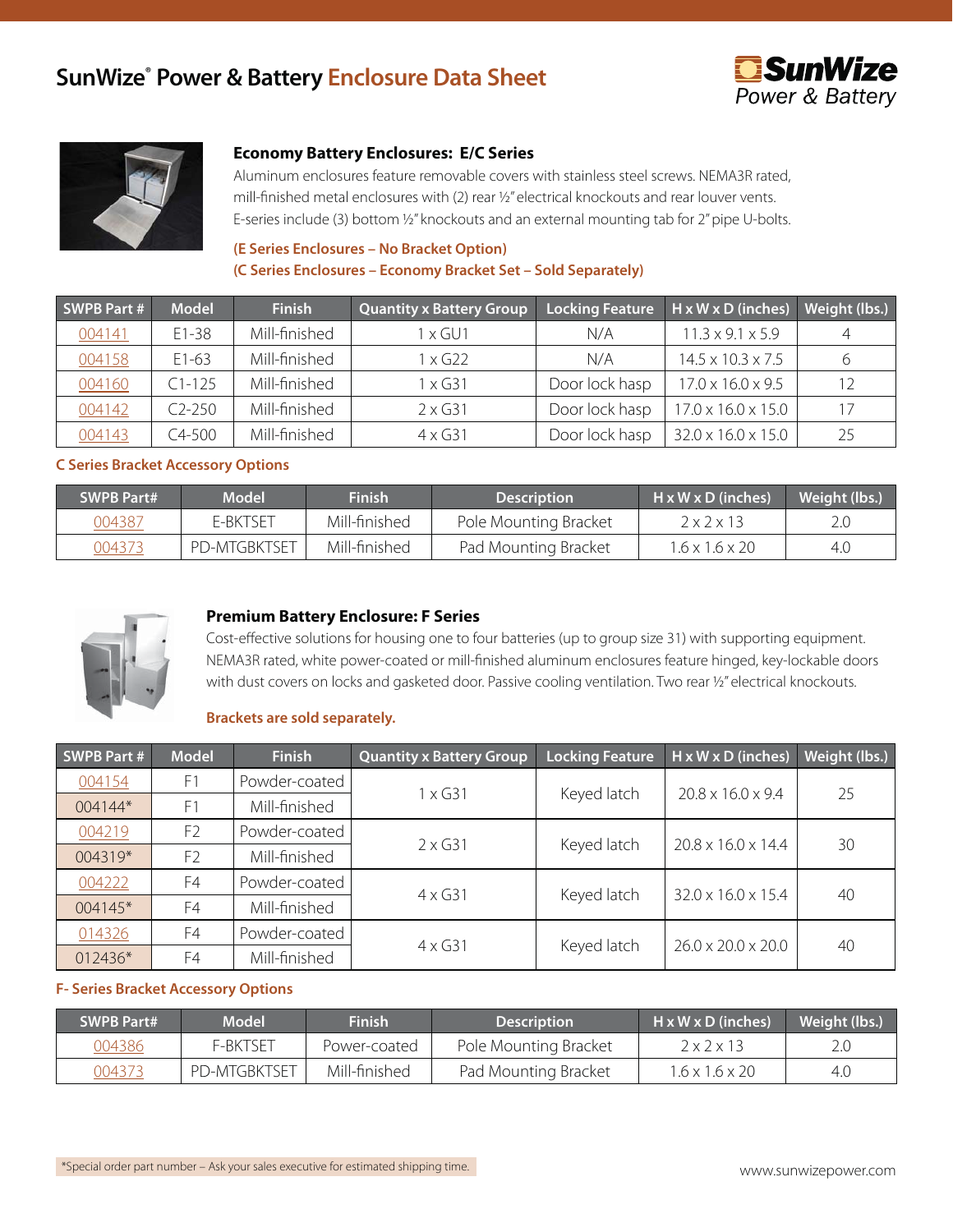# **SunWize® Power & Battery Enclosure Data Sheet**





## **Economy Battery Enclosures: E/C Series**

Aluminum enclosures feature removable covers with stainless steel screws. NEMA3R rated, mill-finished metal enclosures with (2) rear ½" electrical knockouts and rear louver vents. E-series include (3) bottom ½" knockouts and an external mounting tab for 2" pipe U-bolts.

# **(E Series Enclosures – No Bracket Option) (C Series Enclosures – Economy Bracket Set – Sold Separately)**

| <b>SWPB Part #</b> | <b>Model</b> | <b>Finish</b> | <b>Quantity x Battery Group</b> | <b>Locking Feature</b> | $H \times W \times D$ (inches) | Weight (lbs.) |
|--------------------|--------------|---------------|---------------------------------|------------------------|--------------------------------|---------------|
| 004141             | $E1 - 38$    | Mill-finished | I x GU1                         | N/A                    | $11.3 \times 9.1 \times 5.9$   | 4             |
| 004158             | $E1-63$      | Mill-finished | x G22                           | N/A                    | $14.5 \times 10.3 \times 7.5$  |               |
| 004160             | $C1 - 125$   | Mill-finished | l x G31                         | Door lock hasp         | $17.0 \times 16.0 \times 9.5$  | 12            |
| 004142             | $C2-250$     | Mill-finished | $2 \times 631$                  | Door lock hasp         | $17.0 \times 16.0 \times 15.0$ | 17            |
| 004143             | $C4 - 500$   | Mill-finished | $4 \times 631$                  | Door lock hasp         | 32.0 x 16.0 x 15.0             | 25            |

## **C Series Bracket Accessory Options**

| <b>SWPB Part#</b> | <b>Model</b>        | <b>Finish</b> | <b>Description</b>    | $H \times W \times D$ (inches) | Weight (lbs.) |
|-------------------|---------------------|---------------|-----------------------|--------------------------------|---------------|
| 004387            | E-BKTSET            | Mill-finished | Pole Mounting Bracket | $2 \times 2 \times 13$         |               |
| 004373            | <b>PD-MTGBKTSET</b> | Mill-finished | Pad Mounting Bracket  | 1.6 x 1.6 x 20                 | 4.0           |



## **Premium Battery Enclosure: F Series**

Cost-effective solutions for housing one to four batteries (up to group size 31) with supporting equipment. NEMA3R rated, white power-coated or mill-finished aluminum enclosures feature hinged, key-lockable doors with dust covers on locks and gasketed door. Passive cooling ventilation. Two rear 1/2" electrical knockouts.

### **Brackets are sold separately.**

| <b>SWPB Part #</b> | <b>Model</b>   | <b>Finish</b> | <b>Quantity x Battery Group</b> | <b>Locking Feature</b> | $H \times W \times D$ (inches) | <b>Weight (lbs.)</b> |
|--------------------|----------------|---------------|---------------------------------|------------------------|--------------------------------|----------------------|
| 004154             | F1             | Powder-coated |                                 | Keyed latch            | $20.8 \times 16.0 \times 9.4$  |                      |
| 004144*            | F1             | Mill-finished | 1 x G31                         |                        |                                | 25                   |
| 004219             | F <sub>2</sub> | Powder-coated |                                 |                        |                                |                      |
| 004319*            | F <sub>2</sub> | Mill-finished | $2 \times G31$                  | Keyed latch            | $20.8 \times 16.0 \times 14.4$ | 30                   |
| 004222             | F4             | Powder-coated |                                 |                        |                                |                      |
| 004145*            | F4             | Mill-finished | $4 \times 631$                  | Keyed latch            | 32.0 x 16.0 x 15.4             | 40                   |
| 014326             | F4             | Powder-coated |                                 |                        |                                |                      |
| 012436*            | F4             | Mill-finished | $4 \times 631$                  | Keyed latch            | $26.0 \times 20.0 \times 20.0$ | 40                   |

#### **F- Series Bracket Accessory Options**

| <b>SWPB Part#</b> | <b>Model</b>        | <b>Finish</b> | <b>Description</b>    | $H \times W \times D$ (inches) | Weight (lbs.) |
|-------------------|---------------------|---------------|-----------------------|--------------------------------|---------------|
| 004386            | F-BKTSET            | Power-coated  | Pole Mounting Bracket | $2 \times 2 \times 13$         |               |
| 004373            | <b>PD-MTGBKTSET</b> | Mill-finished | Pad Mounting Bracket  | $1.6 \times 1.6 \times 20$     | 4.0           |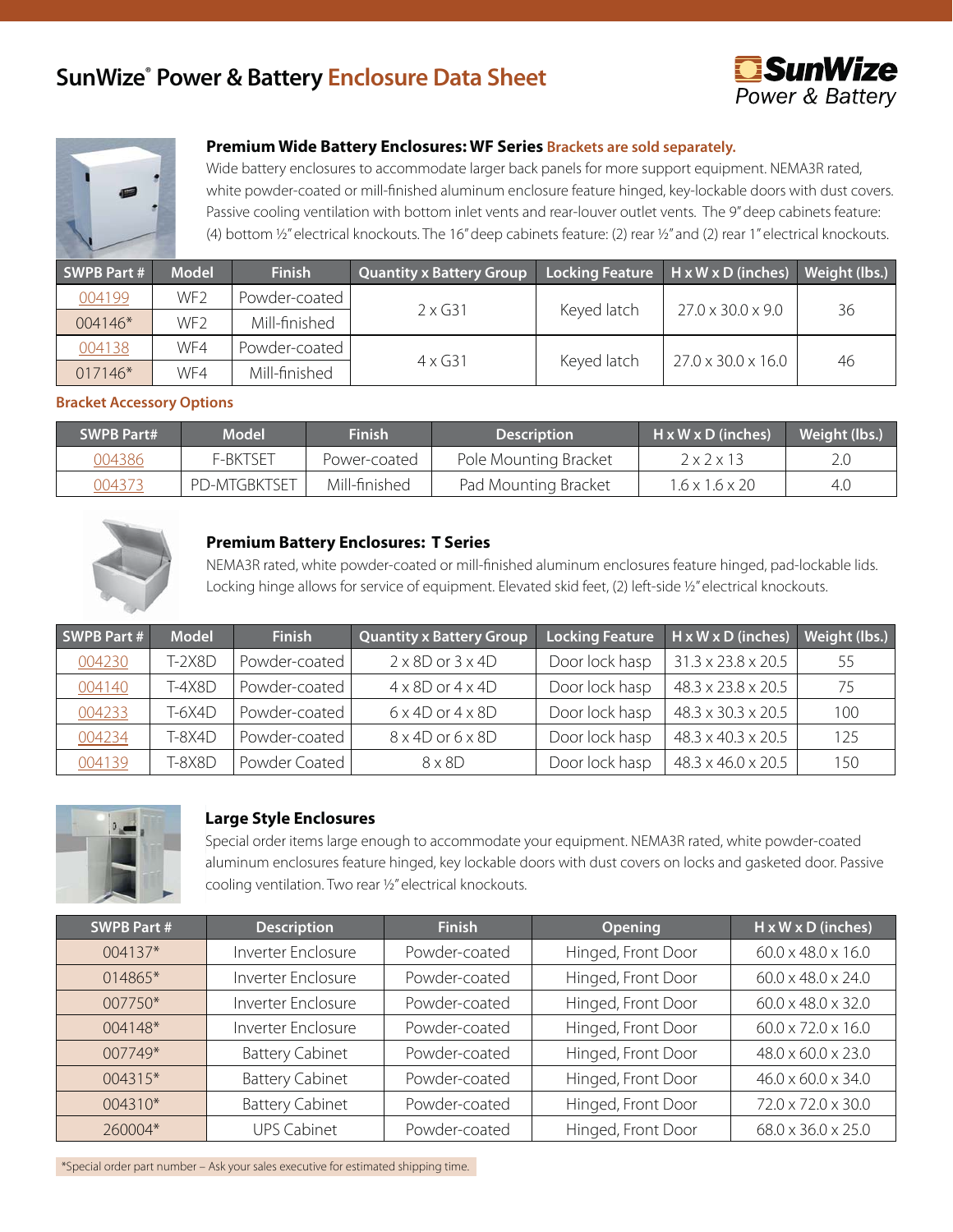# **SunWize® Power & Battery Enclosure Data Sheet**





# **Premium Wide Battery Enclosures: WF Series Brackets are sold separately.**

Wide battery enclosures to accommodate larger back panels for more support equipment. NEMA3R rated, white powder-coated or mill-finished aluminum enclosure feature hinged, key-lockable doors with dust covers. Passive cooling ventilation with bottom inlet vents and rear-louver outlet vents. The 9" deep cabinets feature: (4) bottom ½" electrical knockouts. The 16" deep cabinets feature: (2) rear ½" and (2) rear 1" electrical knockouts.

| SWPB Part # | <b>Model</b>    | <b>Finish</b> | <b>Quantity x Battery Group</b> |             | Locking Feature   H x W x D (inches) | Weight (lbs.) |
|-------------|-----------------|---------------|---------------------------------|-------------|--------------------------------------|---------------|
| 004199      | WF <sub>2</sub> | Powder-coated |                                 |             |                                      |               |
| 004146*     | WF <sub>2</sub> | Mill-finished | $2 \times$ G31                  | Keyed latch | $27.0 \times 30.0 \times 9.0$        | 36            |
| 004138      | WF4             | Powder-coated | $4 \times 631$                  |             | $27.0 \times 30.0 \times 16.0$       |               |
| 017146*     | WF4             | Mill-finished |                                 | Keyed latch |                                      | 46            |

### **Bracket Accessory Options**

| <b>SWPB Part#</b> | <b>Model</b>        | <b>Finish</b> | <b>Description</b>    | $H \times W \times D$ (inches) | Weight (lbs.) |
|-------------------|---------------------|---------------|-----------------------|--------------------------------|---------------|
| 004386            | F-BKTSFT            | Power-coated  | Pole Mounting Bracket | $2 \times 2 \times 13$         |               |
| 004373            | <b>PD-MTGBKTSET</b> | Mill-finished | Pad Mounting Bracket  | $1.6 \times 1.6 \times 20$     | 4.C           |



## **Premium Battery Enclosures: T Series**

NEMA3R rated, white powder-coated or mill-finished aluminum enclosures feature hinged, pad-lockable lids. Locking hinge allows for service of equipment. Elevated skid feet, (2) left-side ½" electrical knockouts.

| <b>SWPB Part #</b> | <b>Model</b> | <b>Finish</b> | <b>Quantity x Battery Group</b> | Locking Feature | $H \times W \times D$ (inches) | Weight (lbs.) |
|--------------------|--------------|---------------|---------------------------------|-----------------|--------------------------------|---------------|
| 004230             | T-2X8D       | Powder-coated | $2 \times 8D$ or $3 \times 4D$  | Door lock hasp  | 31.3 x 23.8 x 20.5             | 55            |
| 004140             | $T-4X8D$     | Powder-coated | $4 \times 8D$ or $4 \times 4D$  | Door lock hasp  | 48.3 x 23.8 x 20.5             | 75            |
| 004233             | $T-6X4D$     | Powder-coated | $6 \times 4D$ or $4 \times 8D$  | Door lock hasp  | 48.3 x 30.3 x 20.5             | 100           |
| 004234             | $T-8X4D$     | Powder-coated | $8 \times 4D$ or $6 \times 8D$  | Door lock hasp  | 48.3 x 40.3 x 20.5             | 125           |
| 004139             | T-8X8D       | Powder Coated | $8 \times 8$ D                  | Door lock hasp  | 48.3 x 46.0 x 20.5             | 150           |



#### **Large Style Enclosures**

Special order items large enough to accommodate your equipment. NEMA3R rated, white powder-coated aluminum enclosures feature hinged, key lockable doors with dust covers on locks and gasketed door. Passive cooling ventilation. Two rear ½" electrical knockouts.

| <b>SWPB Part#</b> | <b>Description</b>     | <b>Finish</b> | <b>Opening</b>     | H x W x D (inches)             |
|-------------------|------------------------|---------------|--------------------|--------------------------------|
| 004137*           | Inverter Enclosure     | Powder-coated | Hinged, Front Door | 60.0 x 48.0 x 16.0             |
| 014865*           | Inverter Enclosure     | Powder-coated | Hinged, Front Door | $60.0 \times 48.0 \times 24.0$ |
| 007750*           | Inverter Enclosure     | Powder-coated | Hinged, Front Door | $60.0 \times 48.0 \times 32.0$ |
| 004148*           | Inverter Enclosure     | Powder-coated | Hinged, Front Door | $60.0 \times 72.0 \times 16.0$ |
| $007749*$         | <b>Battery Cabinet</b> | Powder-coated | Hinged, Front Door | 48.0 x 60.0 x 23.0             |
| 004315*           | <b>Battery Cabinet</b> | Powder-coated | Hinged, Front Door | $46.0 \times 60.0 \times 34.0$ |
| 004310*           | <b>Battery Cabinet</b> | Powder-coated | Hinged, Front Door | 72.0 x 72.0 x 30.0             |
| 260004*           | <b>UPS Cabinet</b>     | Powder-coated | Hinged, Front Door | 68.0 x 36.0 x 25.0             |